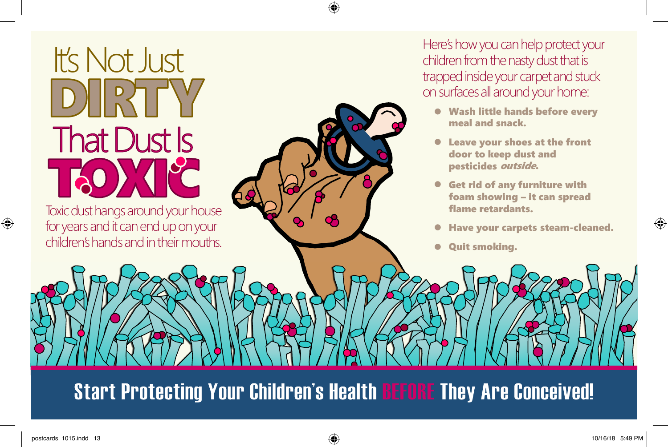## It's Not Just<br>DIERTT **That Dust Is**

Toxic dust hangs around your house for years and it can end up on your children's hands and in their mouths.

Here's how you can help protect your children from the nasty dust that is trapped inside your carpet and stuck on surfaces all around your home:

- Wash little hands before every meal and snack.
- Leave your shoes at the front door to keep dust and pesticides outside.
- Get rid of any furniture with foam showing – it can spread flame retardants.
- Have your carpets steam-cleaned.
- Quit smoking.

**Start Protecting Your Children's Health BEFORE They Are Conceived!**